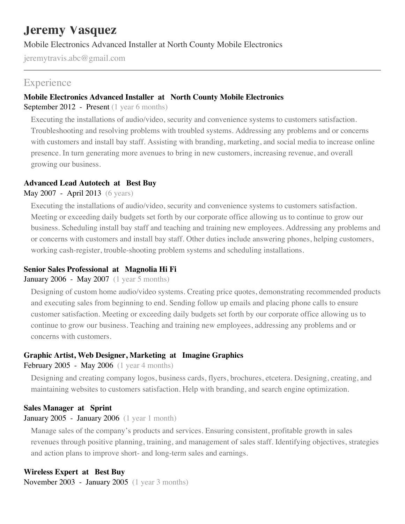# **Jeremy Vasquez**

Mobile Electronics Advanced Installer at North County Mobile Electronics

jeremytravis.abc@gmail.com

# **Experience**

#### **Mobile Electronics Advanced Installer at North County Mobile Electronics**

September 2012 - Present (1 year 6 months)

Executing the installations of audio/video, security and convenience systems to customers satisfaction. Troubleshooting and resolving problems with troubled systems. Addressing any problems and or concerns with customers and install bay staff. Assisting with branding, marketing, and social media to increase online presence. In turn generating more avenues to bring in new customers, increasing revenue, and overall growing our business.

#### **Advanced Lead Autotech at Best Buy**

May 2007 - April 2013 (6 years)

Executing the installations of audio/video, security and convenience systems to customers satisfaction. Meeting or exceeding daily budgets set forth by our corporate office allowing us to continue to grow our business. Scheduling install bay staff and teaching and training new employees. Addressing any problems and or concerns with customers and install bay staff. Other duties include answering phones, helping customers, working cash-register, trouble-shooting problem systems and scheduling installations.

## **Senior Sales Professional at Magnolia Hi Fi**

January 2006 - May 2007 (1 year 5 months)

Designing of custom home audio/video systems. Creating price quotes, demonstrating recommended products and executing sales from beginning to end. Sending follow up emails and placing phone calls to ensure customer satisfaction. Meeting or exceeding daily budgets set forth by our corporate office allowing us to continue to grow our business. Teaching and training new employees, addressing any problems and or concerns with customers.

## **Graphic Artist, Web Designer, Marketing at Imagine Graphics**

February 2005 - May 2006 (1 year 4 months)

Designing and creating company logos, business cards, flyers, brochures, etcetera. Designing, creating, and maintaining websites to customers satisfaction. Help with branding, and search engine optimization.

## **Sales Manager at Sprint**

#### January 2005 - January 2006 (1 year 1 month)

Manage sales of the company's products and services. Ensuring consistent, profitable growth in sales revenues through positive planning, training, and management of sales staff. Identifying objectives, strategies and action plans to improve short- and long-term sales and earnings.

## **Wireless Expert at Best Buy**

November 2003 - January 2005 (1 year 3 months)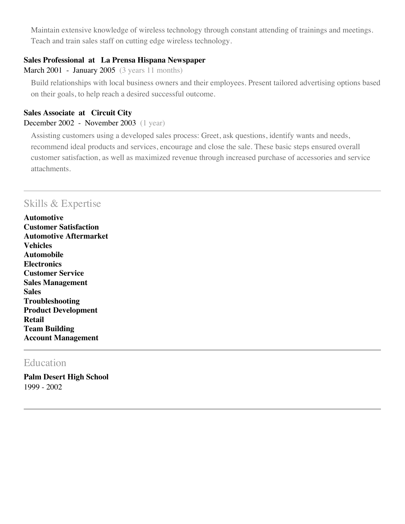Maintain extensive knowledge of wireless technology through constant attending of trainings and meetings. Teach and train sales staff on cutting edge wireless technology.

#### **Sales Professional at La Prensa Hispana Newspaper**

#### March 2001 - January 2005 (3 years 11 months)

Build relationships with local business owners and their employees. Present tailored advertising options based on their goals, to help reach a desired successful outcome.

#### **Sales Associate at Circuit City**

#### December 2002 - November 2003 (1 year)

Assisting customers using a developed sales process: Greet, ask questions, identify wants and needs, recommend ideal products and services, encourage and close the sale. These basic steps ensured overall customer satisfaction, as well as maximized revenue through increased purchase of accessories and service attachments.

# Skills & Expertise

**Automotive Customer Satisfaction Automotive Aftermarket Vehicles Automobile Electronics Customer Service Sales Management Sales Troubleshooting Product Development Retail Team Building Account Management**

# Education

**Palm Desert High School** 1999 - 2002